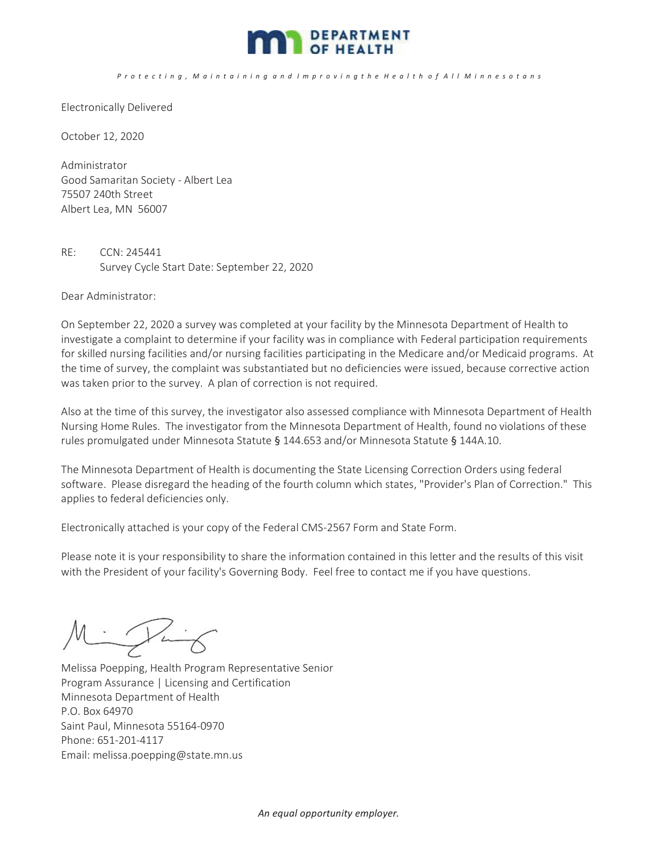

P r o t e c t i n g , M a i n t a i n i n g a n d I m p r o v i n g t h e H e a l t h o f A l I M i n n e s o t a n s

Electronically Delivered

October 12, 2020

Administrator Good Samaritan Society - Albert Lea 75507 240th Street Albert Lea, MN 56007

RE: CCN: 245441 Survey Cycle Start Date: September 22, 2020

Dear Administrator:

On September 22, 2020 a survey was completed at your facility by the Minnesota Department of Health to investigate a complaint to determine if your facility was in compliance with Federal participation requirements for skilled nursing facilities and/or nursing facilities participating in the Medicare and/or Medicaid programs. At the time of survey, the complaint was substantiated but no deficiencies were issued, because corrective action was taken prior to the survey. A plan of correction is not required.

Also at the time of this survey, the investigator also assessed compliance with Minnesota Department of Health Nursing Home Rules. The investigator from the Minnesota Department of Health, found no violations of these rules promulgated under Minnesota Statute § 144.653 and/or Minnesota Statute § 144A.10.

The Minnesota Department of Health is documenting the State Licensing Correction Orders using federal software. Please disregard the heading of the fourth column which states, "Provider's Plan of Correction." This applies to federal deficiencies only.

Electronically attached is your copy of the Federal CMS-2567 Form and State Form.

Please note it is your responsibility to share the information contained in this letter and the results of this visit with the President of your facility's Governing Body. Feel free to contact me if you have questions.

Million Ì

Melissa Poepping, Health Program Representative Senior Program Assurance | Licensing and Certification Minnesota Department of Health P.O. Box 64970 Saint Paul, Minnesota 55164-0970 Phone: 651-201-4117 Email: melissa.poepping@state.mn.us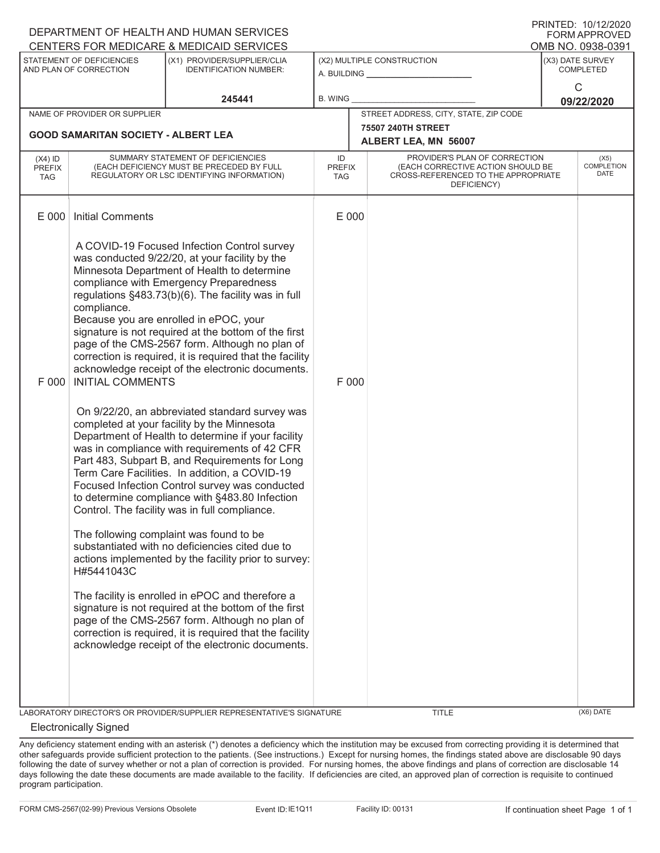| DEPARTMENT OF HEALTH AND HUMAN SERVICES<br><b>FORM APPROVED</b> |                                                                                                                                                                                                                                                                                                                                                                                                                                                                                                                                                                                                                                                                                                                                                                                                                                                                                                                                                                                                                                                                                                                                                                                                                                                                                                                                                                                                                                                                               |                                                                       |                                                   |                                                                                                                                           |                                          |  |  |  |  |
|-----------------------------------------------------------------|-------------------------------------------------------------------------------------------------------------------------------------------------------------------------------------------------------------------------------------------------------------------------------------------------------------------------------------------------------------------------------------------------------------------------------------------------------------------------------------------------------------------------------------------------------------------------------------------------------------------------------------------------------------------------------------------------------------------------------------------------------------------------------------------------------------------------------------------------------------------------------------------------------------------------------------------------------------------------------------------------------------------------------------------------------------------------------------------------------------------------------------------------------------------------------------------------------------------------------------------------------------------------------------------------------------------------------------------------------------------------------------------------------------------------------------------------------------------------------|-----------------------------------------------------------------------|---------------------------------------------------|-------------------------------------------------------------------------------------------------------------------------------------------|------------------------------------------|--|--|--|--|
|                                                                 | CENTERS FOR MEDICARE & MEDICAID SERVICES<br>OMB NO. 0938-0391                                                                                                                                                                                                                                                                                                                                                                                                                                                                                                                                                                                                                                                                                                                                                                                                                                                                                                                                                                                                                                                                                                                                                                                                                                                                                                                                                                                                                 |                                                                       |                                                   |                                                                                                                                           |                                          |  |  |  |  |
| STATEMENT OF DEFICIENCIES<br>AND PLAN OF CORRECTION             |                                                                                                                                                                                                                                                                                                                                                                                                                                                                                                                                                                                                                                                                                                                                                                                                                                                                                                                                                                                                                                                                                                                                                                                                                                                                                                                                                                                                                                                                               | (X1) PROVIDER/SUPPLIER/CLIA<br><b>IDENTIFICATION NUMBER:</b>          | (X2) MULTIPLE CONSTRUCTION<br>A. BUILDING         |                                                                                                                                           | (X3) DATE SURVEY<br><b>COMPLETED</b>     |  |  |  |  |
| 245441                                                          |                                                                                                                                                                                                                                                                                                                                                                                                                                                                                                                                                                                                                                                                                                                                                                                                                                                                                                                                                                                                                                                                                                                                                                                                                                                                                                                                                                                                                                                                               | B. WING                                                               |                                                   | $\mathsf{C}$<br>09/22/2020                                                                                                                |                                          |  |  |  |  |
|                                                                 | NAME OF PROVIDER OR SUPPLIER                                                                                                                                                                                                                                                                                                                                                                                                                                                                                                                                                                                                                                                                                                                                                                                                                                                                                                                                                                                                                                                                                                                                                                                                                                                                                                                                                                                                                                                  |                                                                       | STREET ADDRESS, CITY, STATE, ZIP CODE             |                                                                                                                                           |                                          |  |  |  |  |
|                                                                 | <b>GOOD SAMARITAN SOCIETY - ALBERT LEA</b>                                                                                                                                                                                                                                                                                                                                                                                                                                                                                                                                                                                                                                                                                                                                                                                                                                                                                                                                                                                                                                                                                                                                                                                                                                                                                                                                                                                                                                    |                                                                       | <b>75507 240TH STREET</b><br>ALBERT LEA, MN 56007 |                                                                                                                                           |                                          |  |  |  |  |
| $(X4)$ ID<br><b>PREFIX</b><br><b>TAG</b>                        | SUMMARY STATEMENT OF DEFICIENCIES<br>(EACH DEFICIENCY MUST BE PRECEDED BY FULL<br>REGULATORY OR LSC IDENTIFYING INFORMATION)                                                                                                                                                                                                                                                                                                                                                                                                                                                                                                                                                                                                                                                                                                                                                                                                                                                                                                                                                                                                                                                                                                                                                                                                                                                                                                                                                  |                                                                       |                                                   | PROVIDER'S PLAN OF CORRECTION<br>(EACH CORRECTIVE ACTION SHOULD BE<br><b>PREFIX</b><br>CROSS-REFERENCED TO THE APPROPRIATE<br>DEFICIENCY) | (X5)<br><b>COMPLETION</b><br><b>DATE</b> |  |  |  |  |
| E 000                                                           | <b>Initial Comments</b>                                                                                                                                                                                                                                                                                                                                                                                                                                                                                                                                                                                                                                                                                                                                                                                                                                                                                                                                                                                                                                                                                                                                                                                                                                                                                                                                                                                                                                                       |                                                                       |                                                   |                                                                                                                                           |                                          |  |  |  |  |
| F 000                                                           | A COVID-19 Focused Infection Control survey<br>was conducted 9/22/20, at your facility by the<br>Minnesota Department of Health to determine<br>compliance with Emergency Preparedness<br>regulations §483.73(b)(6). The facility was in full<br>compliance.<br>Because you are enrolled in ePOC, your<br>signature is not required at the bottom of the first<br>page of the CMS-2567 form. Although no plan of<br>correction is required, it is required that the facility<br>acknowledge receipt of the electronic documents.<br><b>INITIAL COMMENTS</b><br>On 9/22/20, an abbreviated standard survey was<br>completed at your facility by the Minnesota<br>Department of Health to determine if your facility<br>was in compliance with requirements of 42 CFR<br>Part 483, Subpart B, and Requirements for Long<br>Term Care Facilities. In addition, a COVID-19<br>Focused Infection Control survey was conducted<br>to determine compliance with §483.80 Infection<br>Control. The facility was in full compliance.<br>The following complaint was found to be<br>substantiated with no deficiencies cited due to<br>actions implemented by the facility prior to survey:<br>H#5441043C<br>The facility is enrolled in ePOC and therefore a<br>signature is not required at the bottom of the first<br>page of the CMS-2567 form. Although no plan of<br>correction is required, it is required that the facility<br>acknowledge receipt of the electronic documents. |                                                                       |                                                   | E 000<br>F 000                                                                                                                            |                                          |  |  |  |  |
|                                                                 |                                                                                                                                                                                                                                                                                                                                                                                                                                                                                                                                                                                                                                                                                                                                                                                                                                                                                                                                                                                                                                                                                                                                                                                                                                                                                                                                                                                                                                                                               | LABORATORY DIRECTOR'S OR PROVIDER/SUPPLIER REPRESENTATIVE'S SIGNATURE |                                                   | <b>TITLE</b>                                                                                                                              | (X6) DATE                                |  |  |  |  |

## Electronically Signed

Any deficiency statement ending with an asterisk (\*) denotes a deficiency which the institution may be excused from correcting providing it is determined that other safeguards provide sufficient protection to the patients. (See instructions.) Except for nursing homes, the findings stated above are disclosable 90 days following the date of survey whether or not a plan of correction is provided. For nursing homes, the above findings and plans of correction are disclosable 14 days following the date these documents are made available to the facility. If deficiencies are cited, an approved plan of correction is requisite to continued program participation.

PRINTED: 10/12/2020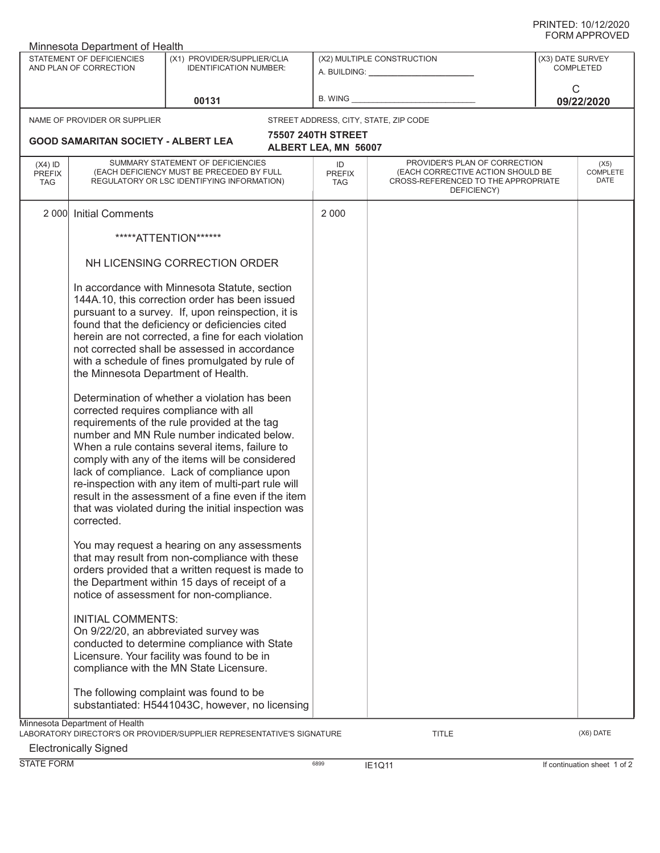| Minnesota Department of Health           |                                                                                             |                                                                                                                                                                                                                                                                                                                                                                                                                                                                                                                                                                                                                                                                                                                                                                                                                                             |                                   |                                                                                                                          |                                      |                                 |  |  |  |
|------------------------------------------|---------------------------------------------------------------------------------------------|---------------------------------------------------------------------------------------------------------------------------------------------------------------------------------------------------------------------------------------------------------------------------------------------------------------------------------------------------------------------------------------------------------------------------------------------------------------------------------------------------------------------------------------------------------------------------------------------------------------------------------------------------------------------------------------------------------------------------------------------------------------------------------------------------------------------------------------------|-----------------------------------|--------------------------------------------------------------------------------------------------------------------------|--------------------------------------|---------------------------------|--|--|--|
| STATEMENT OF DEFICIENCIES                |                                                                                             | (X1) PROVIDER/SUPPLIER/CLIA                                                                                                                                                                                                                                                                                                                                                                                                                                                                                                                                                                                                                                                                                                                                                                                                                 | (X2) MULTIPLE CONSTRUCTION        |                                                                                                                          | (X3) DATE SURVEY<br><b>COMPLETED</b> |                                 |  |  |  |
|                                          | AND PLAN OF CORRECTION                                                                      | <b>IDENTIFICATION NUMBER:</b>                                                                                                                                                                                                                                                                                                                                                                                                                                                                                                                                                                                                                                                                                                                                                                                                               |                                   |                                                                                                                          |                                      |                                 |  |  |  |
|                                          |                                                                                             |                                                                                                                                                                                                                                                                                                                                                                                                                                                                                                                                                                                                                                                                                                                                                                                                                                             |                                   |                                                                                                                          | C                                    |                                 |  |  |  |
|                                          |                                                                                             | 00131                                                                                                                                                                                                                                                                                                                                                                                                                                                                                                                                                                                                                                                                                                                                                                                                                                       | <b>B. WING</b>                    |                                                                                                                          |                                      | 09/22/2020                      |  |  |  |
|                                          | NAME OF PROVIDER OR SUPPLIER                                                                |                                                                                                                                                                                                                                                                                                                                                                                                                                                                                                                                                                                                                                                                                                                                                                                                                                             |                                   | STREET ADDRESS, CITY, STATE, ZIP CODE                                                                                    |                                      |                                 |  |  |  |
|                                          |                                                                                             |                                                                                                                                                                                                                                                                                                                                                                                                                                                                                                                                                                                                                                                                                                                                                                                                                                             | <b>75507 240TH STREET</b>         |                                                                                                                          |                                      |                                 |  |  |  |
|                                          | <b>GOOD SAMARITAN SOCIETY - ALBERT LEA</b>                                                  |                                                                                                                                                                                                                                                                                                                                                                                                                                                                                                                                                                                                                                                                                                                                                                                                                                             | ALBERT LEA, MN 56007              |                                                                                                                          |                                      |                                 |  |  |  |
| $(X4)$ ID<br><b>PREFIX</b><br><b>TAG</b> |                                                                                             | SUMMARY STATEMENT OF DEFICIENCIES<br>(EACH DEFICIENCY MUST BE PRECEDED BY FULL<br>REGULATORY OR LSC IDENTIFYING INFORMATION)                                                                                                                                                                                                                                                                                                                                                                                                                                                                                                                                                                                                                                                                                                                | ID<br><b>PREFIX</b><br><b>TAG</b> | PROVIDER'S PLAN OF CORRECTION<br>(EACH CORRECTIVE ACTION SHOULD BE<br>CROSS-REFERENCED TO THE APPROPRIATE<br>DEFICIENCY) |                                      | (X5)<br><b>COMPLETE</b><br>DATE |  |  |  |
| 2 0 0 0                                  | <b>Initial Comments</b>                                                                     |                                                                                                                                                                                                                                                                                                                                                                                                                                                                                                                                                                                                                                                                                                                                                                                                                                             | 2 0 0 0                           |                                                                                                                          |                                      |                                 |  |  |  |
|                                          |                                                                                             | *****ATTENTION******                                                                                                                                                                                                                                                                                                                                                                                                                                                                                                                                                                                                                                                                                                                                                                                                                        |                                   |                                                                                                                          |                                      |                                 |  |  |  |
|                                          |                                                                                             | NH LICENSING CORRECTION ORDER                                                                                                                                                                                                                                                                                                                                                                                                                                                                                                                                                                                                                                                                                                                                                                                                               |                                   |                                                                                                                          |                                      |                                 |  |  |  |
|                                          | the Minnesota Department of Health.<br>corrected requires compliance with all<br>corrected. | In accordance with Minnesota Statute, section<br>144A.10, this correction order has been issued<br>pursuant to a survey. If, upon reinspection, it is<br>found that the deficiency or deficiencies cited<br>herein are not corrected, a fine for each violation<br>not corrected shall be assessed in accordance<br>with a schedule of fines promulgated by rule of<br>Determination of whether a violation has been<br>requirements of the rule provided at the tag<br>number and MN Rule number indicated below.<br>When a rule contains several items, failure to<br>comply with any of the items will be considered<br>lack of compliance. Lack of compliance upon<br>re-inspection with any item of multi-part rule will<br>result in the assessment of a fine even if the item<br>that was violated during the initial inspection was |                                   |                                                                                                                          |                                      |                                 |  |  |  |
|                                          |                                                                                             | You may request a hearing on any assessments<br>that may result from non-compliance with these<br>orders provided that a written request is made to<br>the Department within 15 days of receipt of a<br>notice of assessment for non-compliance.                                                                                                                                                                                                                                                                                                                                                                                                                                                                                                                                                                                            |                                   |                                                                                                                          |                                      |                                 |  |  |  |
|                                          | <b>INITIAL COMMENTS:</b>                                                                    | On 9/22/20, an abbreviated survey was<br>conducted to determine compliance with State<br>Licensure. Your facility was found to be in<br>compliance with the MN State Licensure.                                                                                                                                                                                                                                                                                                                                                                                                                                                                                                                                                                                                                                                             |                                   |                                                                                                                          |                                      |                                 |  |  |  |
|                                          |                                                                                             | The following complaint was found to be<br>substantiated: H5441043C, however, no licensing                                                                                                                                                                                                                                                                                                                                                                                                                                                                                                                                                                                                                                                                                                                                                  |                                   |                                                                                                                          |                                      |                                 |  |  |  |
|                                          | Minnesota Department of Health                                                              | LABORATORY DIRECTOR'S OR PROVIDER/SUPPLIER REPRESENTATIVE'S SIGNATURE                                                                                                                                                                                                                                                                                                                                                                                                                                                                                                                                                                                                                                                                                                                                                                       |                                   | <b>TITLE</b>                                                                                                             |                                      | (X6) DATE                       |  |  |  |

Electronically Signed